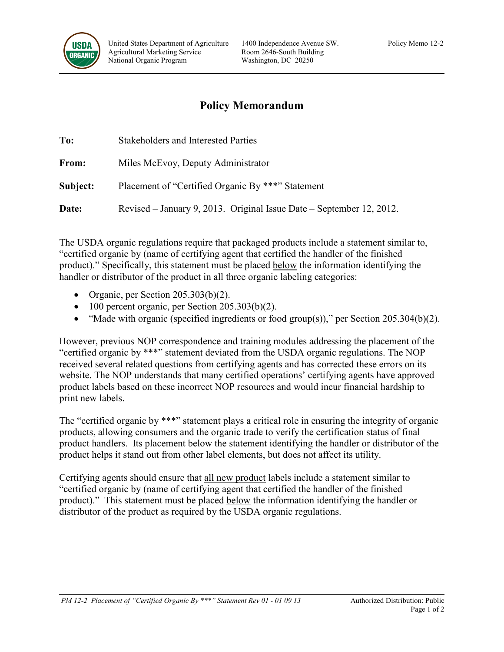

## **Policy Memorandum**

| To:          | <b>Stakeholders and Interested Parties</b>                           |
|--------------|----------------------------------------------------------------------|
| From:        | Miles McEvoy, Deputy Administrator                                   |
| Subject:     | Placement of "Certified Organic By ***" Statement                    |
| <b>Date:</b> | Revised – January 9, 2013. Original Issue Date – September 12, 2012. |

The USDA organic regulations require that packaged products include a statement similar to, "certified organic by (name of certifying agent that certified the handler of the finished product)." Specifically, this statement must be placed below the information identifying the handler or distributor of the product in all three organic labeling categories:

- Organic, per Section 205.303(b)(2).
- 100 percent organic, per Section 205.303(b)(2).
- "Made with organic (specified ingredients or food group(s))," per Section 205.304(b)(2).

However, previous NOP correspondence and training modules addressing the placement of the "certified organic by \*\*\*" statement deviated from the USDA organic regulations. The NOP received several related questions from certifying agents and has corrected these errors on its website. The NOP understands that many certified operations' certifying agents have approved product labels based on these incorrect NOP resources and would incur financial hardship to print new labels.

The "certified organic by \*\*\*" statement plays a critical role in ensuring the integrity of organic products, allowing consumers and the organic trade to verify the certification status of final product handlers. Its placement below the statement identifying the handler or distributor of the product helps it stand out from other label elements, but does not affect its utility.

Certifying agents should ensure that all new product labels include a statement similar to "certified organic by (name of certifying agent that certified the handler of the finished product)." This statement must be placed below the information identifying the handler or distributor of the product as required by the USDA organic regulations.